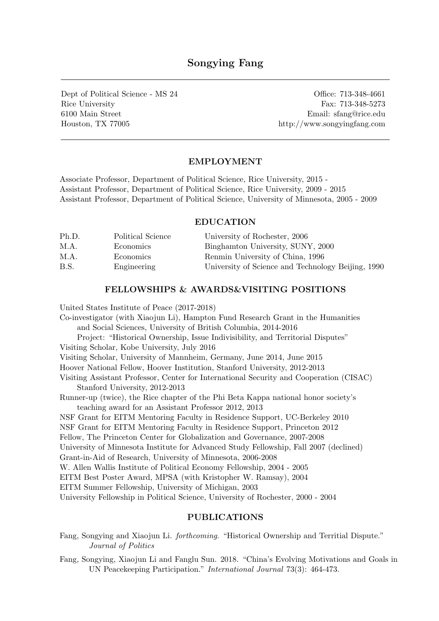# Songying Fang

Dept of Political Science - MS 24 Office: 713-348-4661 Rice University Fax: 713-348-5273 6100 Main Street Email: sfang@rice.edu Houston, TX 77005 http://www.songyingfang.com

## EMPLOYMENT

Associate Professor, Department of Political Science, Rice University, 2015 - Assistant Professor, Department of Political Science, Rice University, 2009 - 2015 Assistant Professor, Department of Political Science, University of Minnesota, 2005 - 2009

#### EDUCATION

| Ph.D. | Political Science | University of Rochester, 2006                      |
|-------|-------------------|----------------------------------------------------|
| M.A.  | Economics         | Binghamton University, SUNY, 2000                  |
| M.A.  | Economics         | Renmin University of China, 1996                   |
| B.S.  | Engineering       | University of Science and Technology Beijing, 1990 |

### FELLOWSHIPS & AWARDS&VISITING POSITIONS

United States Institute of Peace (2017-2018)

Co-investigator (with Xiaojun Li), Hampton Fund Research Grant in the Humanities and Social Sciences, University of British Columbia, 2014-2016 Project: "Historical Ownership, Issue Indivisibility, and Territorial Disputes" Visiting Scholar, Kobe University, July 2016 Visiting Scholar, University of Mannheim, Germany, June 2014, June 2015 Hoover National Fellow, Hoover Institution, Stanford University, 2012-2013 Visiting Assistant Professor, Center for International Security and Cooperation (CISAC) Stanford University, 2012-2013 Runner-up (twice), the Rice chapter of the Phi Beta Kappa national honor society's teaching award for an Assistant Professor 2012, 2013 NSF Grant for EITM Mentoring Faculty in Residence Support, UC-Berkeley 2010 NSF Grant for EITM Mentoring Faculty in Residence Support, Princeton 2012 Fellow, The Princeton Center for Globalization and Governance, 2007-2008 University of Minnesota Institute for Advanced Study Fellowship, Fall 2007 (declined) Grant-in-Aid of Research, University of Minnesota, 2006-2008 W. Allen Wallis Institute of Political Economy Fellowship, 2004 - 2005 EITM Best Poster Award, MPSA (with Kristopher W. Ramsay), 2004 EITM Summer Fellowship, University of Michigan, 2003 University Fellowship in Political Science, University of Rochester, 2000 - 2004

### PUBLICATIONS

- Fang, Songying and Xiaojun Li. forthcoming. "Historical Ownership and Territial Dispute." Journal of Politics
- Fang, Songying, Xiaojun Li and Fanglu Sun. 2018. "China's Evolving Motivations and Goals in UN Peacekeeping Participation." International Journal 73(3): 464-473.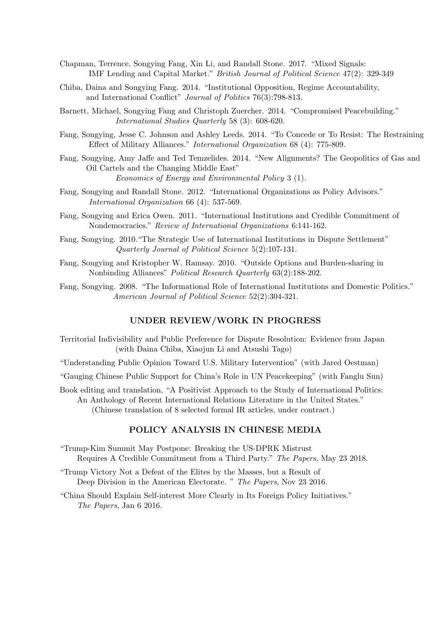- Chapman, Terrence, Songying Fang, Xin Li, and Randall Stone. 2017. "Mixed Signals: IMF Lending and Capital Market." British Journal of Political Science 47(2): 329-349
- Chiba, Daina and Songying Fang. 2014. "Institutional Opposition, Regime Accountability, and International Conflict" Journal of Politics 76(3):798-813.
- Barnett, Michael, Songying Fang and Christoph Zuercher. 2014. "Compromised Peacebuilding." International Studies Quarterly 58 (3): 608-620.
- Fang, Songying, Jesse C. Johnson and Ashley Leeds. 2014. "To Concede or To Resist: The Restraining Effect of Military Alliances." International Organization 68 (4): 775-809.
- Fang, Songying, Amy Jaffe and Ted Temzelides. 2014. "New Alignments? The Geopolitics of Gas and Oil Cartels and the Changing Middle East" Economics of Energy and Environmental Policy 3 (1).
- Fang, Songying and Randall Stone. 2012. "International Organizations as Policy Advisors." International Organization 66 (4): 537-569.
- Fang, Songying and Erica Owen. 2011. "International Institutions and Credible Commitment of Nondemocracies." Review of International Organizations 6:141-162.
- Fang, Songying. 2010."The Strategic Use of International Institutions in Dispute Settlement" Quarterly Journal of Political Science 5(2):107-131.
- Fang, Songying and Kristopher W. Ramsay. 2010. "Outside Options and Burden-sharing in Nonbinding Alliances" Political Research Quarterly 63(2):188-202.
- Fang, Songying. 2008. "The Informational Role of International Institutions and Domestic Politics." American Journal of Political Science 52(2):304-321.

#### UNDER REVIEW/WORK IN PROGRESS

- Territorial Indivisibility and Public Preference for Dispute Resolution: Evidence from Japan (with Daina Chiba, Xiaojun Li and Atsushi Tago)
- "Understanding Public Opinion Toward U.S. Military Intervention" (with Jared Oestman)
- "Gauging Chinese Public Support for China's Role in UN Peacekeeping" (with Fanglu Sun)
- Book editing and translation, "A Positivist Approach to the Study of International Politics: An Anthology of Recent International Relations Literature in the United States." (Chinese translation of 8 selected formal IR articles, under contract.)

## POLICY ANALYSIS IN CHINESE MEDIA

- "Trump-Kim Summit May Postpone: Breaking the US-DPRK Mistrust Requires A Credible Commitment from a Third Party." The Papers, May 23 2018.
- "Trump Victory Not a Defeat of the Elites by the Masses, but a Result of Deep Division in the American Electorate. " The Papers, Nov 23 2016.
- "China Should Explain Self-interest More Clearly in Its Foreign Policy Initiatives." The Papers, Jan 6 2016.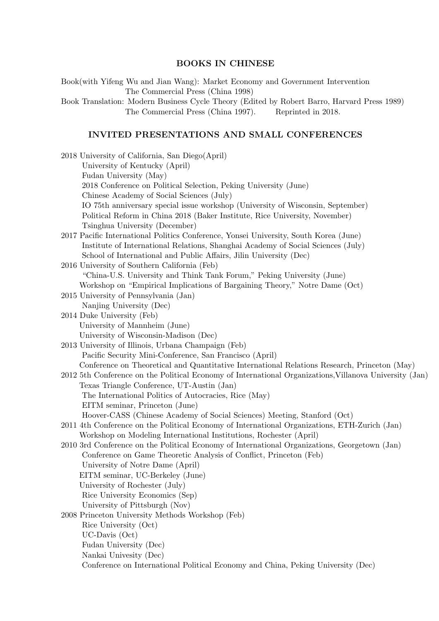# BOOKS IN CHINESE

Book(with Yifeng Wu and Jian Wang): Market Economy and Government Intervention The Commercial Press (China 1998)

Book Translation: Modern Business Cycle Theory (Edited by Robert Barro, Harvard Press 1989) The Commercial Press (China 1997). Reprinted in 2018.

## INVITED PRESENTATIONS AND SMALL CONFERENCES

| 2018 University of California, San Diego(April)                                                         |
|---------------------------------------------------------------------------------------------------------|
| University of Kentucky (April)                                                                          |
| Fudan University (May)                                                                                  |
| 2018 Conference on Political Selection, Peking University (June)                                        |
| Chinese Academy of Social Sciences (July)                                                               |
| IO 75th anniversary special issue workshop (University of Wisconsin, September)                         |
| Political Reform in China 2018 (Baker Institute, Rice University, November)                             |
| Tsinghua University (December)                                                                          |
| 2017 Pacific International Politics Conference, Yonsei University, South Korea (June)                   |
| Institute of International Relations, Shanghai Academy of Social Sciences (July)                        |
| School of International and Public Affairs, Jilin University (Dec)                                      |
| 2016 University of Southern California (Feb)                                                            |
| "China-U.S. University and Think Tank Forum," Peking University (June)                                  |
| Workshop on "Empirical Implications of Bargaining Theory," Notre Dame (Oct)                             |
| 2015 University of Pennsylvania (Jan)                                                                   |
| Nanjing University (Dec)                                                                                |
| 2014 Duke University (Feb)                                                                              |
| University of Mannheim (June)                                                                           |
| University of Wisconsin-Madison (Dec)                                                                   |
| 2013 University of Illinois, Urbana Champaign (Feb)                                                     |
| Pacific Security Mini-Conference, San Francisco (April)                                                 |
| Conference on Theoretical and Quantitative International Relations Research, Princeton (May)            |
| 2012 5th Conference on the Political Economy of International Organizations, Villanova University (Jan) |
| Texas Triangle Conference, UT-Austin (Jan)                                                              |
| The International Politics of Autocracies, Rice (May)                                                   |
| EITM seminar, Princeton (June)                                                                          |
| Hoover-CASS (Chinese Academy of Social Sciences) Meeting, Stanford (Oct)                                |
| 2011 4th Conference on the Political Economy of International Organizations, ETH-Zurich (Jan)           |
| Workshop on Modeling International Institutions, Rochester (April)                                      |
| 2010 3rd Conference on the Political Economy of International Organizations, Georgetown (Jan)           |
| Conference on Game Theoretic Analysis of Conflict, Princeton (Feb)                                      |
| University of Notre Dame (April)                                                                        |
| EITM seminar, UC-Berkeley (June)                                                                        |
| University of Rochester (July)                                                                          |
| Rice University Economics (Sep)                                                                         |
| University of Pittsburgh (Nov)                                                                          |
| 2008 Princeton University Methods Workshop (Feb)                                                        |
| Rice University (Oct)                                                                                   |
| $UC$ -Davis $(Oct)$                                                                                     |
| Fudan University (Dec)                                                                                  |
| Nankai Univesity (Dec)                                                                                  |
| Conference on International Political Economy and China, Peking University (Dec)                        |
|                                                                                                         |